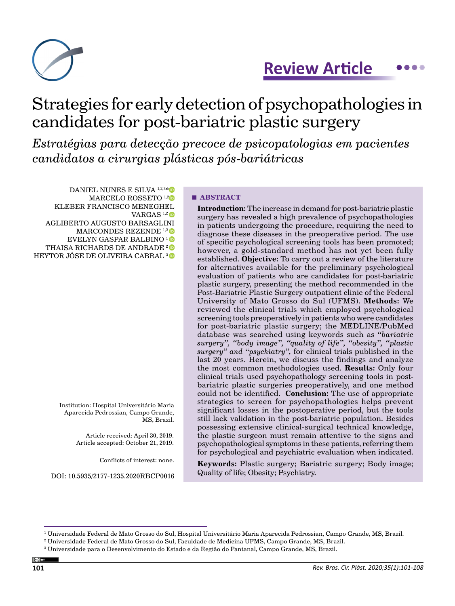

## **Review Article...**

# Strategies for early detection of psychopathologies in candidates for post-bariatric plastic surgery

*Estratégias para detecção precoce de psicopatologias em pacientes candidatos a cirurgias plásticas pós-bariátricas*

DANIEL NUNES E SILVA<sup>1,2,3[\\*](https://orcid.org/0000-0003-3050-5838)</sup> MARCELO ROSSETO<sup>1,[2](https://orcid.org/0000-0002-4111-9791)</sup><sup>0</sup> KLEBER FRANCISCO MENEGHEL VARGAS  $1,2$  D AGLIBERTO AUGUSTO BARSAGLINI MARCONDES REZENDE<sup>1,2</sup><sup>0</sup> EVELYN GASPAR BALBINO [1](https://orcid.org/0000-0001-6692-8037)  THAISA RICHARDS DE ANDRADE<sup>2</sup>

HEYTOR JÓSE DE OLIVEIRA CABRAL [3](https://orcid.org/0000-0003-3248-767X) D

Institution: Hospital Universitário Maria Aparecida Pedrossian, Campo Grande, MS, Brazil.

> Article received: April 30, 2019. Article accepted: October 21, 2019.

> > Conflicts of interest: none.

DOI: 10.5935/2177-1235.2020RBCP0016

#### **■ ABSTRACT**

**Introduction:** The increase in demand for post-bariatric plastic surgery has revealed a high prevalence of psychopathologies in patients undergoing the procedure, requiring the need to diagnose these diseases in the preoperative period. The use of specific psychological screening tools has been promoted; however, a gold-standard method has not yet been fully established. **Objective:** To carry out a review of the literature for alternatives available for the preliminary psychological evaluation of patients who are candidates for post-bariatric plastic surgery, presenting the method recommended in the Post-Bariatric Plastic Surgery outpatient clinic of the Federal University of Mato Grosso do Sul (UFMS). **Methods:** We reviewed the clinical trials which employed psychological screening tools preoperatively in patients who were candidates for post-bariatric plastic surgery; the MEDLINE/PubMed database was searched using keywords such as *"bariatric surgery", "body image", "quality of life", "obesity", "plastic surgery" and "psychiatry",* for clinical trials published in the last 20 years. Herein, we discuss the findings and analyze the most common methodologies used. **Results:** Only four clinical trials used psychopathology screening tools in postbariatric plastic surgeries preoperatively, and one method could not be identified. **Conclusion:** The use of appropriate strategies to screen for psychopathologies helps prevent significant losses in the postoperative period, but the tools still lack validation in the post-bariatric population. Besides possessing extensive clinical-surgical technical knowledge, the plastic surgeon must remain attentive to the signs and psychopathological symptoms in these patients, referring them for psychological and psychiatric evaluation when indicated.

**Keywords:** Plastic surgery; Bariatric surgery; Body image; Quality of life; Obesity; Psychiatry.

<sup>&</sup>lt;sup>1</sup> Universidade Federal de Mato Grosso do Sul, Hospital Universitário Maria Aparecida Pedrossian, Campo Grande, MS, Brazil.

<sup>2</sup> Universidade Federal de Mato Grosso do Sul, Faculdade de Medicina UFMS, Campo Grande, MS, Brazil.

 $^{\rm 3}$  Universidade para o Desenvolvimento do Estado e da Região do Pantanal, Campo Grande, MS, Brazil.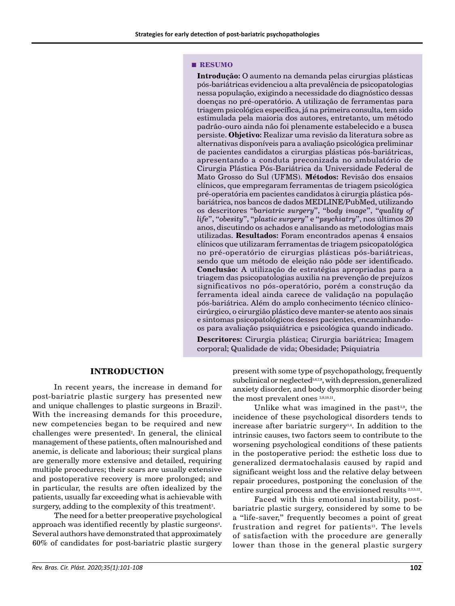#### **■ RESUMO**

**Introdução:** O aumento na demanda pelas cirurgias plásticas pós-bariátricas evidenciou a alta prevalência de psicopatologias nessa população, exigindo a necessidade do diagnóstico dessas doenças no pré-operatório. A utilização de ferramentas para triagem psicológica específica, já na primeira consulta, tem sido estimulada pela maioria dos autores, entretanto, um método padrão-ouro ainda não foi plenamente estabelecido e a busca persiste. **Objetivo:** Realizar uma revisão da literatura sobre as alternativas disponíveis para a avaliação psicológica preliminar de pacientes candidatos a cirurgias plásticas pós-bariátricas, apresentando a conduta preconizada no ambulatório de Cirurgia Plástica Pós-Bariátrica da Universidade Federal de Mato Grosso do Sul (UFMS). **Métodos:** Revisão dos ensaios clínicos, que empregaram ferramentas de triagem psicológica pré-operatória em pacientes candidatos à cirurgia plástica pósbariátrica, nos bancos de dados MEDLINE/PubMed, utilizando os descritores "*bariatric surgery*", "*body image*", "*quality of life*", "*obesity*", "*plastic surgery*" e "*psychiatry*", nos últimos 20 anos, discutindo os achados e analisando as metodologias mais utilizadas. **Resultados:** Foram encontrados apenas 4 ensaios clínicos que utilizaram ferramentas de triagem psicopatológica no pré-operatório de cirurgias plásticas pós-bariátricas, sendo que um método de eleição não pôde ser identificado. **Conclusão:** A utilização de estratégias apropriadas para a triagem das psicopatologias auxilia na prevenção de prejuízos significativos no pós-operatório, porém a construção da ferramenta ideal ainda carece de validação na população pós-bariátrica. Além do amplo conhecimento técnico clínicocirúrgico, o cirurgião plástico deve manter-se atento aos sinais e sintomas psicopatológicos desses pacientes, encaminhandoos para avaliação psiquiátrica e psicológica quando indicado.

**Descritores:** Cirurgia plástica; Cirurgia bariátrica; Imagem corporal; Qualidade de vida; Obesidade; Psiquiatria

### **INTRODUCTION**

In recent years, the increase in demand for post-bariatric plastic surgery has presented new and unique challenges to plastic surgeons in Brazil<sup>1</sup>. With the increasing demands for this procedure, new competencies began to be required and new challenges were presented<sup>2</sup>. In general, the clinical management of these patients, often malnourished and anemic, is delicate and laborious; their surgical plans are generally more extensive and detailed, requiring multiple procedures; their scars are usually extensive and postoperative recovery is more prolonged; and in particular, the results are often idealized by the patients, usually far exceeding what is achievable with surgery, adding to the complexity of this treatment<sup>3</sup>.

The need for a better preoperative psychological approach was identified recently by plastic surgeons<sup>4</sup>. Several authors have demonstrated that approximately 60% of candidates for post-bariatric plastic surgery

present with some type of psychopathology, frequently subclinical or neglected<sup>5,6,7,8</sup>, with depression, generalized anxiety disorder, and body dysmorphic disorder being the most prevalent ones 3,9,10,11.

Unlike what was imagined in the past<sup>3,9</sup>, the incidence of these psychological disorders tends to increase after bariatric surgery<sup>1,4</sup>. In addition to the intrinsic causes, two factors seem to contribute to the worsening psychological conditions of these patients in the postoperative period: the esthetic loss due to generalized dermatochalasis caused by rapid and significant weight loss and the relative delay between repair procedures, postponing the conclusion of the entire surgical process and the envisioned results 2,3,5,12.

Faced with this emotional instability, postbariatric plastic surgery, considered by some to be a "life-saver," frequently becomes a point of great frustration and regret for patients<sup>13</sup>. The levels of satisfaction with the procedure are generally lower than those in the general plastic surgery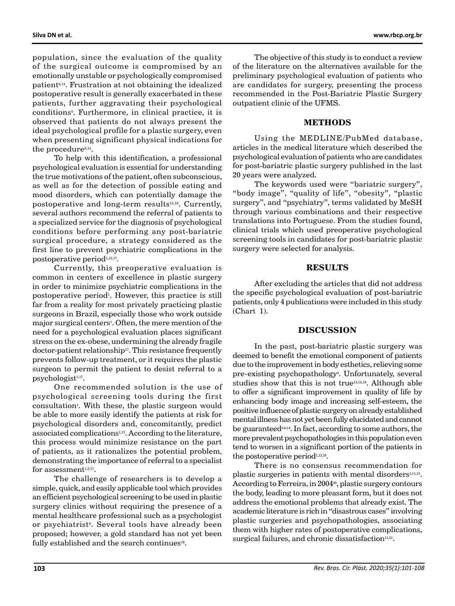population, since the evaluation of the quality of the surgical outcome is compromised by an emotionally unstable or psychologically compromised patient6,14. Frustration at not obtaining the idealized postoperative result is generally exacerbated in these patients, further aggravating their psychological conditions5 . Furthermore, in clinical practice, it is observed that patients do not always present the ideal psychological profile for a plastic surgery, even when presenting significant physical indications for the procedure<sup>6,14</sup>.

To help with this identification, a professional psychological evaluation is essential for understanding the true motivations of the patient, often subconscious, as well as for the detection of possible eating and mood disorders, which can potentially damage the postoperative and long-term results<sup>15,16</sup>. Currently, several authors recommend the referral of patients to a specialized service for the diagnosis of psychological conditions before performing any post-bariatric surgical procedure, a strategy considered as the first line to prevent psychiatric complications in the postoperative period<sup>1,15,17</sup>.

Currently, this preoperative evaluation is common in centers of excellence in plastic surgery in order to minimize psychiatric complications in the postoperative period<sup>1</sup>. However, this practice is still far from a reality for most privately practicing plastic surgeons in Brazil, especially those who work outside major surgical centers<sup>1</sup>. Often, the mere mention of the need for a psychological evaluation places significant stress on the ex-obese, undermining the already fragile doctor-patient relationship<sup>17</sup>. This resistance frequently prevents follow-up treatment, or it requires the plastic surgeon to permit the patient to desist referral to a psychologist<sup>1,17</sup>.

One recommended solution is the use of psychological screening tools during the first consultation<sup>1</sup>. With these, the plastic surgeon would be able to more easily identify the patients at risk for psychological disorders and, concomitantly, predict associated complications<sup>1,17</sup>. According to the literature, this process would minimize resistance on the part of patients, as it rationalizes the potential problem, demonstrating the importance of referral to a specialist for assessment $1,5,17$ .

The challenge of researchers is to develop a simple, quick, and easily applicable tool which provides an efficient psychological screening to be used in plastic surgery clinics without requiring the presence of a mental healthcare professional such as a psychologist or psychiatrist<sup>9</sup>. Several tools have already been proposed; however, a gold standard has not yet been fully established and the search continues<sup>18</sup>.

The objective of this study is to conduct a review of the literature on the alternatives available for the preliminary psychological evaluation of patients who are candidates for surgery, presenting the process recommended in the Post-Bariatric Plastic Surgery outpatient clinic of the UFMS.

#### **METHODS**

Using the MEDLINE/PubMed database, articles in the medical literature which described the psychological evaluation of patients who are candidates for post-bariatric plastic surgery published in the last 20 years were analyzed.

The keywords used were "bariatric surgery", "body image", "quality of life", "obesity", "plastic surgery", and "psychiatry", terms validated by MeSH through various combinations and their respective translations into Portuguese. From the studies found, clinical trials which used preoperative psychological screening tools in candidates for post-bariatric plastic surgery were selected for analysis.

#### **RESULTS**

After excluding the articles that did not address the specific psychological evaluation of post-bariatric patients, only 4 publications were included in this study (Chart 1).

#### **DISCUSSION**

In the past, post-bariatric plastic surgery was deemed to benefit the emotional component of patients due to the improvement in body esthetics, relieving some pre-existing psychopathology<sup>4</sup>. Unfortunately, several studies show that this is not true<sup>13,14,19</sup>. Although able to offer a significant improvement in quality of life by enhancing body image and increasing self-esteem, the positive influence of plastic surgery on already established mental illness has not yet been fully elucidated and cannot be guaranteed<sup>5,6,14</sup>. In fact, according to some authors, the more prevalent psychopathologies in this population even tend to worsen in a significant portion of the patients in the postoperative period $1,13,19$ .

There is no consensus recommendation for plastic surgeries in patients with mental disorders<sup>1,11,13</sup>. According to Ferreira, in 2004<sup>20</sup>, plastic surgery contours the body, leading to more pleasant form, but it does not address the emotional problems that already exist. The academic literature is rich in "disastrous cases" involving plastic surgeries and psychopathologies, associating them with higher rates of postoperative complications, surgical failures, and chronic dissatisfaction $11,21$ .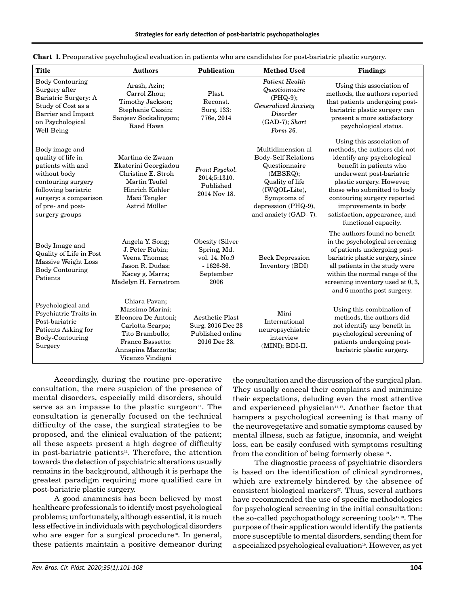| <b>Title</b>                                                                                                                                                                           | <b>Authors</b>                                                                                                                                               | <b>Publication</b>                                                                  | <b>Method Used</b>                                                                                                                                                             | <b>Findings</b>                                                                                                                                                                                                                                                                                                            |
|----------------------------------------------------------------------------------------------------------------------------------------------------------------------------------------|--------------------------------------------------------------------------------------------------------------------------------------------------------------|-------------------------------------------------------------------------------------|--------------------------------------------------------------------------------------------------------------------------------------------------------------------------------|----------------------------------------------------------------------------------------------------------------------------------------------------------------------------------------------------------------------------------------------------------------------------------------------------------------------------|
| <b>Body Contouring</b><br>Surgery after<br>Bariatric Surgery: A<br>Study of Cost as a<br>Barrier and Impact<br>on Psychological<br>Well-Being                                          | Arash, Azin;<br>Carrol Zhou;<br>Timothy Jackson;<br>Stephanie Cassin;<br>Sanjeev Sockalingam;<br>Raed Hawa                                                   | Plast.<br>Reconst.<br>Surg. 133:<br>776e, 2014                                      | <b>Patient Health</b><br>Questionnaire<br>$(PHQ-9);$<br><b>Generalized Anxiety</b><br>Disorder<br>(GAD-7); Short<br>Form-36.                                                   | Using this association of<br>methods, the authors reported<br>that patients undergoing post-<br>bariatric plastic surgery can<br>present a more satisfactory<br>psychological status.                                                                                                                                      |
| Body image and<br>quality of life in<br>patients with and<br>without body<br>contouring surgery<br>following bariatric<br>surgery: a comparison<br>of pre- and post-<br>surgery groups | Martina de Zwaan<br>Ekaterini Georgiadou<br>Christine E. Stroh<br>Martin Teufel<br>Hinrich Köhler<br>Maxi Tengler<br>Astrid Müller                           | Front Psychol.<br>2014;5:1310.<br>Published<br>2014 Nov 18.                         | Multidimension al<br><b>Body-Self Relations</b><br>Questionnaire<br>(MBSRQ);<br>Quality of life<br>(IWQOL-Lite),<br>Symptoms of<br>depression (PHQ-9),<br>and anxiety (GAD-7). | Using this association of<br>methods, the authors did not<br>identify any psychological<br>benefit in patients who<br>underwent post-bariatric<br>plastic surgery. However,<br>those who submitted to body<br>contouring surgery reported<br>improvements in body<br>satisfaction, appearance, and<br>functional capacity. |
| Body Image and<br>Quality of Life in Post<br>Massive Weight Loss<br><b>Body Contouring</b><br>Patients                                                                                 | Angela Y. Song;<br>J. Peter Rubin;<br>Veena Thomas;<br>Jason R. Dudas;<br>Kacey g. Marra;<br>Madelyn H. Fernstrom                                            | Obesity (Silver<br>Spring, Md.<br>vol. 14. No.9<br>$-1626-36.$<br>September<br>2006 | <b>Beck Depression</b><br>Inventory (BDI)                                                                                                                                      | The authors found no benefit<br>in the psychological screening<br>of patients undergoing post-<br>bariatric plastic surgery, since<br>all patients in the study were<br>within the normal range of the<br>screening inventory used at 0, 3,<br>and 6 months post-surgery.                                                  |
| Psychological and<br>Psychiatric Traits in<br>Post-bariatric<br>Patients Asking for<br>Body-Contouring<br>Surgery                                                                      | Chiara Pavan;<br>Massimo Marini;<br>Eleonora De Antoni;<br>Carlotta Scarpa;<br>Tito Brambullo;<br>Franco Bassetto;<br>Annapina Mazzotta;<br>Vicenzo Vindigni | <b>Aesthetic Plast</b><br>Surg. 2016 Dec 28<br>Published online<br>2016 Dec 28.     | Mini<br>International<br>neuropsychiatric<br>interview<br>(MINI); BDI-II.                                                                                                      | Using this combination of<br>methods, the authors did<br>not identify any benefit in<br>psychological screening of<br>patients undergoing post-<br>bariatric plastic surgery.                                                                                                                                              |

|  |  |  |  | Chart 1. Preoperative psychological evaluation in patients who are candidates for post-bariatric plastic surgery |  |
|--|--|--|--|------------------------------------------------------------------------------------------------------------------|--|
|--|--|--|--|------------------------------------------------------------------------------------------------------------------|--|

Accordingly, during the routine pre-operative consultation, the mere suspicion of the presence of mental disorders, especially mild disorders, should serve as an impasse to the plastic surgeon $11$ . The consultation is generally focused on the technical difficulty of the case, the surgical strategies to be proposed, and the clinical evaluation of the patient; all these aspects present a high degree of difficulty in post-bariatric patients<sup>11</sup>. Therefore, the attention towards the detection of psychiatric alterations usually remains in the background, although it is perhaps the greatest paradigm requiring more qualified care in post-bariatric plastic surgery.

A good anamnesis has been believed by most healthcare professionals to identify most psychological problems; unfortunately, although essential, it is much less effective in individuals with psychological disorders who are eager for a surgical procedure<sup>10</sup>. In general, these patients maintain a positive demeanor during the consultation and the discussion of the surgical plan. They usually conceal their complaints and minimize their expectations, deluding even the most attentive and experienced physician<sup>11,17</sup>. Another factor that hampers a psychological screening is that many of the neurovegetative and somatic symptoms caused by mental illness, such as fatigue, insomnia, and weight loss, can be easily confused with symptoms resulting from the condition of being formerly obese 21.

The diagnostic process of psychiatric disorders is based on the identification of clinical syndromes, which are extremely hindered by the absence of consistent biological markers<sup>22</sup>. Thus, several authors have recommended the use of specific methodologies for psychological screening in the initial consultation: the so-called psychopathology screening tools<sup>17,18</sup>. The purpose of their application would identify the patients more susceptible to mental disorders, sending them for a specialized psychological evaluation<sup>10</sup>. However, as yet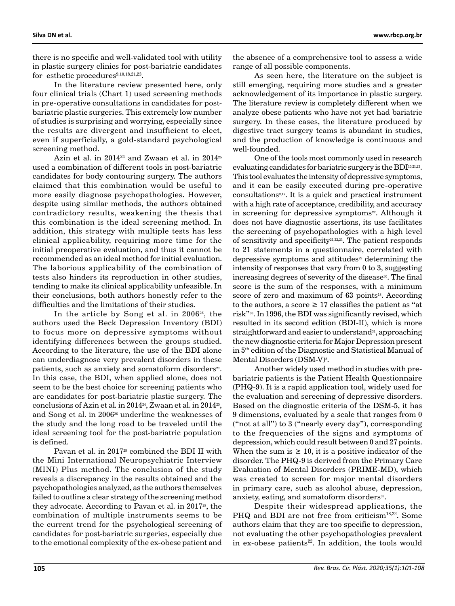there is no specific and well-validated tool with utility in plastic surgery clinics for post-bariatric candidates for esthetic procedures $9,10,18,21,23$ .

In the literature review presented here, only four clinical trials (Chart 1) used screening methods in pre-operative consultations in candidates for postbariatric plastic surgeries. This extremely low number of studies is surprising and worrying, especially since the results are divergent and insufficient to elect, even if superficially, a gold-standard psychological screening method.

Azin et al. in 2014<sup>24</sup> and Zwaan et al. in 2014<sup>25</sup> used a combination of different tools in post-bariatric candidates for body contouring surgery. The authors claimed that this combination would be useful to more easily diagnose psychopathologies. However, despite using similar methods, the authors obtained contradictory results, weakening the thesis that this combination is the ideal screening method. In addition, this strategy with multiple tests has less clinical applicability, requiring more time for the initial preoperative evaluation, and thus it cannot be recommended as an ideal method for initial evaluation. The laborious applicability of the combination of tests also hinders its reproduction in other studies, tending to make its clinical applicability unfeasible. In their conclusions, both authors honestly refer to the difficulties and the limitations of their studies.

In the article by Song et al. in 200626, the authors used the Beck Depression Inventory (BDI) to focus more on depressive symptoms without identifying differences between the groups studied. According to the literature, the use of the BDI alone can underdiagnose very prevalent disorders in these patients, such as anxiety and somatoform disorders<sup>27</sup>. In this case, the BDI, when applied alone, does not seem to be the best choice for screening patients who are candidates for post-bariatric plastic surgery. The conclusions of Azin et al*.* in 201424, Zwaan et al. in 201425, and Song et al. in 2006<sup>26</sup> underline the weaknesses of the study and the long road to be traveled until the ideal screening tool for the post-bariatric population is defined.

Pavan et al. in 2017<sup>28</sup> combined the BDI II with the Mini International Neuropsychiatric Interview (MINI) Plus method. The conclusion of the study reveals a discrepancy in the results obtained and the psychopathologies analyzed, as the authors themselves failed to outline a clear strategy of the screening method they advocate. According to Pavan et al. in 2017<sup>28</sup>, the combination of multiple instruments seems to be the current trend for the psychological screening of candidates for post-bariatric surgeries, especially due to the emotional complexity of the ex-obese patient and

the absence of a comprehensive tool to assess a wide range of all possible components.

As seen here, the literature on the subject is still emerging, requiring more studies and a greater acknowledgement of its importance in plastic surgery. The literature review is completely different when we analyze obese patients who have not yet had bariatric surgery. In these cases, the literature produced by digestive tract surgery teams is abundant in studies, and the production of knowledge is continuous and well-founded.

One of the tools most commonly used in research evaluating candidates for bariatric surgery is the BDI<sup>10,21,23</sup>. This tool evaluates the intensity of depressive symptoms, and it can be easily executed during pre-operative consultations9,17. It is a quick and practical instrument with a high rate of acceptance, credibility, and accuracy in screening for depressive symptoms<sup>22</sup>. Although it does not have diagnostic assertions, its use facilitates the screening of psychopathologies with a high level of sensitivity and specificity<sup>21,22,23</sup>. The patient responds to 21 statements in a questionnaire, correlated with depressive symptoms and attitudes<sup>29</sup> determining the intensity of responses that vary from 0 to 3, suggesting increasing degrees of severity of the disease<sup>30</sup>. The final score is the sum of the responses, with a minimum score of zero and maximum of 63 points<sup>18</sup>. According to the authors, a score  $\geq 17$  classifies the patient as "at risk"30. In 1996, the BDI was significantly revised, which resulted in its second edition (BDI-II), which is more straightforward and easier to understand<sup>31</sup>, approaching the new diagnostic criteria for Major Depression present in 5th edition of the Diagnostic and Statistical Manual of Mental Disorders (DSM-V)<sup>8</sup>.

Another widely used method in studies with prebariatric patients is the Patient Health Questionnaire (PHQ-9). It is a rapid application tool, widely used for the evaluation and screening of depressive disorders. Based on the diagnostic criteria of the DSM-5, it has 9 dimensions, evaluated by a scale that ranges from 0 ("not at all") to 3 ("nearly every day"), corresponding to the frequencies of the signs and symptoms of depression, which could result between 0 and 27 points. When the sum is  $\geq 10$ , it is a positive indicator of the disorder. The PHQ-9 is derived from the Primary Care Evaluation of Mental Disorders (PRIME-MD), which was created to screen for major mental disorders in primary care, such as alcohol abuse, depression, anxiety, eating, and somatoform disorders<sup>32</sup>.

Despite their widespread applications, the PHQ and BDI are not free from criticism<sup>18,22</sup>. Some authors claim that they are too specific to depression, not evaluating the other psychopathologies prevalent in ex-obese patients<sup>22</sup>. In addition, the tools would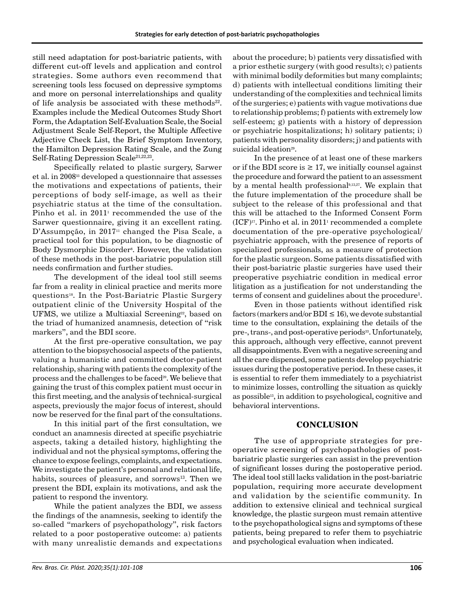still need adaptation for post-bariatric patients, with different cut-off levels and application and control strategies. Some authors even recommend that screening tools less focused on depressive symptoms and more on personal interrelationships and quality of life analysis be associated with these methods $22$ . Examples include the Medical Outcomes Study Short Form, the Adaptation Self-Evaluation Scale, the Social Adjustment Scale Self-Report, the Multiple Affective Adjective Check List, the Brief Symptom Inventory, the Hamilton Depression Rating Scale, and the Zung Self-Rating Depression Scale<sup>21,22,23</sup>.

Specifically related to plastic surgery, Sarwer et al. in 200833 developed a questionnaire that assesses the motivations and expectations of patients, their perceptions of body self-image, as well as their psychiatric status at the time of the consultation. Pinho et al. in  $2011<sup>1</sup>$  recommended the use of the Sarwer questionnaire, giving it an excellent rating. D'Assumpção, in 2017<sup>11</sup> changed the Pisa Scale, a practical tool for this population, to be diagnostic of Body Dysmorphic Disorder8 . However, the validation of these methods in the post-bariatric population still needs confirmation and further studies.

The development of the ideal tool still seems far from a reality in clinical practice and merits more questions18. In the Post-Bariatric Plastic Surgery outpatient clinic of the University Hospital of the UFMS, we utilize a Multiaxial Screening<sup>22</sup>, based on the triad of humanized anamnesis, detection of "risk markers", and the BDI score.

At the first pre-operative consultation, we pay attention to the biopsychosocial aspects of the patients, valuing a humanistic and committed doctor-patient relationship, sharing with patients the complexity of the process and the challenges to be faced<sup>20</sup>. We believe that gaining the trust of this complex patient must occur in this first meeting, and the analysis of technical-surgical aspects, previously the major focus of interest, should now be reserved for the final part of the consultations.

In this initial part of the first consultation, we conduct an anamnesis directed at specific psychiatric aspects, taking a detailed history, highlighting the individual and not the physical symptoms, offering the chance to expose feelings, complaints, and expectations. We investigate the patient's personal and relational life, habits, sources of pleasure, and sorrows<sup>13</sup>. Then we present the BDI, explain its motivations, and ask the patient to respond the inventory.

While the patient analyzes the BDI, we assess the findings of the anamnesis, seeking to identify the so-called "markers of psychopathology", risk factors related to a poor postoperative outcome: a) patients with many unrealistic demands and expectations

about the procedure; b) patients very dissatisfied with a prior esthetic surgery (with good results); c) patients with minimal bodily deformities but many complaints; d) patients with intellectual conditions limiting their understanding of the complexities and technical limits of the surgeries; e) patients with vague motivations due to relationship problems; f) patients with extremely low self-esteem; g) patients with a history of depression or psychiatric hospitalizations; h) solitary patients; i) patients with personality disorders; j) and patients with suicidal ideation<sup>29</sup>.

In the presence of at least one of these markers or if the BDI score is  $\geq$  17, we initially counsel against the procedure and forward the patient to an assessment by a mental health professional<sup>9,13,27</sup>. We explain that the future implementation of the procedure shall be subject to the release of this professional and that this will be attached to the Informed Consent Form  $(ICF)^{17}$ . Pinho et al. in 2011<sup>1</sup> recommended a complete documentation of the pre-operative psychological/ psychiatric approach, with the presence of reports of specialized professionals, as a measure of protection for the plastic surgeon. Some patients dissatisfied with their post-bariatric plastic surgeries have used their preoperative psychiatric condition in medical error litigation as a justification for not understanding the terms of consent and guidelines about the procedure<sup>1</sup>.

Even in those patients without identified risk factors (markers and/or BDI  $\leq 16$ ), we devote substantial time to the consultation, explaining the details of the pre-, trans-, and post-operative periods<sup>33</sup>. Unfortunately, this approach, although very effective, cannot prevent all disappointments. Even with a negative screening and all the care dispensed, some patients develop psychiatric issues during the postoperative period. In these cases, it is essential to refer them immediately to a psychiatrist to minimize losses, controlling the situation as quickly as possible<sup>13</sup>, in addition to psychological, cognitive and behavioral interventions.

## **CONCLUSION**

The use of appropriate strategies for preoperative screening of psychopathologies of postbariatric plastic surgeries can assist in the prevention of significant losses during the postoperative period. The ideal tool still lacks validation in the post-bariatric population, requiring more accurate development and validation by the scientific community. In addition to extensive clinical and technical surgical knowledge, the plastic surgeon must remain attentive to the psychopathological signs and symptoms of these patients, being prepared to refer them to psychiatric and psychological evaluation when indicated.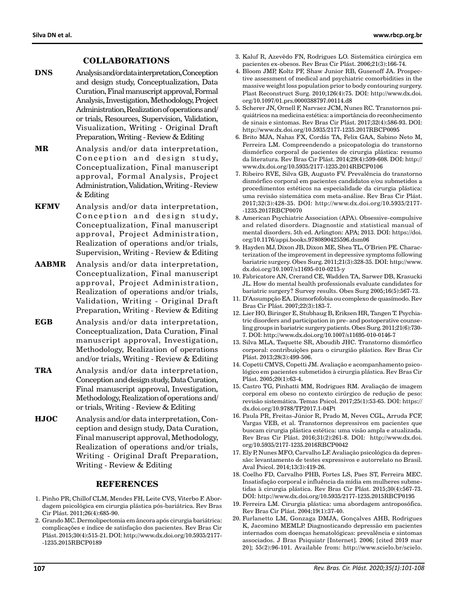## **COLLABORATIONS**

- **DNS** Analysis and/or data interpretation, Conception and design study, Conceptualization, Data Curation, Final manuscript approval, Formal Analysis, Investigation, Methodology, Project Administration, Realization of operations and/ or trials, Resources, Supervision, Validation, Visualization, Writing - Original Draft Preparation, Writing - Review & Editing
- **MR** Analysis and/or data interpretation, Conception and design study, Conceptualization, Final manuscript approval, Formal Analysis, Project Administration, Validation, Writing - Review & Editing
- **KFMV** Analysis and/or data interpretation, Conception and design study, Conceptualization, Final manuscript approval, Project Administration, Realization of operations and/or trials, Supervision, Writing - Review & Editing
- **AABMR** Analysis and/or data interpretation, Conceptualization, Final manuscript approval, Project Administration, Realization of operations and/or trials, Validation, Writing - Original Draft Preparation, Writing - Review & Editing
- **EGB** Analysis and/or data interpretation, Conceptualization, Data Curation, Final manuscript approval, Investigation, Methodology, Realization of operations and/or trials, Writing - Review & Editing
- **TRA** Analysis and/or data interpretation, Conception and design study, Data Curation, Final manuscript approval, Investigation, Methodology, Realization of operations and/ or trials, Writing - Review & Editing
- **HJOC** Analysis and/or data interpretation, Conception and design study, Data Curation, Final manuscript approval, Methodology, Realization of operations and/or trials, Writing - Original Draft Preparation, Writing - Review & Editing

#### **REFERENCES**

- 1. Pinho PR, Chillof CLM, Mendes FH, Leite CVS, Viterbo F. Abordagem psicológica em cirurgia plástica pós-bariátrica. Rev Bras Cir Plást. 2011;26(4):685-90.
- 2. Grando MC. Dermolipectomia em âncora após cirurgia bariátrica: complicações e índice de satisfação dos pacientes. Rev Bras Cir Plást. 2015;30(4):515-21. DOI: [http://www.dx.doi.org/10.5935/2177-](http://www.dx.doi.org/10.5935/2177-1235.2015RBCP0189) [-1235.2015RBCP0189](http://www.dx.doi.org/10.5935/2177-1235.2015RBCP0189)
- 3. Kaluf R, Azevêdo FN, Rodrigues LO. Sistemática cirúrgica em pacientes ex-obesos. Rev Bras Cir Plást. 2006;21(3):166-74.
- 4. Bloom JMP, Koltz PF, Shaw Junior RB, Gusenoff JA. Prospective assessment of medical and psychiatric comorbidities in the massive weight loss population prior to body contouring surgery. Plast Reconstruct Surg. 2010;126(4):75. DOI: [http://www.dx.doi.](http://www.dx.doi.org/10.1097/01.prs.0000388797.00114.d8) [org/10.1097/01.prs.0000388797.00114.d8](http://www.dx.doi.org/10.1097/01.prs.0000388797.00114.d8)
- 5. Scherer JN, Ornell F, Narvaez JCM, Nunes RC. Transtornos psiquiátricos na medicina estética: a importância do reconhecimento de sinais e sintomas. Rev Bras Cir Plást. 2017;32(4):586-93. DOI: <http://www.dx.doi.org/10.5935/2177-1235.2017RBCP0095>
- 6. Brito MJA, Nahas FX, Cordás TA, Felix GAA, Sabino Neto M, Ferreira LM. Compreendendo a psicopatologia do transtorno dismórfico corporal de pacientes de cirurgia plástica: resumo da literatura. Rev Bras Cir Plást. 2014;29(4):599-608. DOI: [http://](http://www.dx.doi.org/10.5935/2177-1235.2014RBCP0106) [www.dx.doi.org/10.5935/2177-1235.2014RBCP0106](http://www.dx.doi.org/10.5935/2177-1235.2014RBCP0106)
- 7. Ribeiro RVE, Silva GB, Augusto FV. Prevalência do transtorno dismórfico corporal em pacientes candidatos e/ou submetidos a procedimentos estéticos na especialidade da cirurgia plástica: uma revisão sistemática com meta-análise. Rev Bras Cir Plást. 2017;32(3):428-35. DOI: [http://www.dx.doi.org/10.5935/2177-](http://www.dx.doi.org/10.5935/2177-1235.2017RBCP0070) [-1235.2017RBCP0070](http://www.dx.doi.org/10.5935/2177-1235.2017RBCP0070)
- 8. American Psychiatric Association (APA). Obsessive-compulsive and related disorders. Diagnostic and statistical manual of mental disorders. 5th ed. Arlington: APA; 2013. DOI: [https://doi.](https://doi.org/10.1176/appi.books.9780890425596.dsm06) [org/10.1176/appi.books.9780890425596.dsm06](https://doi.org/10.1176/appi.books.9780890425596.dsm06)
- 9. Hayden MJ, Dixon JB, Dixon ME, Shea TL, O'Brien PE. Characterization of the improvement in depressive symptoms following bariatric surgery. Obes Surg. 2011;21(3):328-35. DOI: [http://www.](http://www.dx.doi.org/10.1007/s11695-010-0215-y) [dx.doi.org/10.1007/s11695-010-0215-y](http://www.dx.doi.org/10.1007/s11695-010-0215-y)
- 10. Fabricatore AN, Crerand CE, Wadden TA, Sarwer DB, Krasucki JL. How do mental health professionals evaluate candidates for bariatric surgery? Survey results. Obes Surg 2005;16(5):567-73.
- 11. D'Assumpção EA. Dismorfofobia ou complexo de quasímodo. Rev Bras Cir Plást. 2007;22(3):183-7.
- 12. Lier HO, Biringer E, Stubhaug B, Eriksen HR, Tangen T. Psychiatric disorders and participation in pre- and postoperative counseling groups in bariatric surgery patients. Obes Surg. 2011;21(6):730- 7. DOI:<http://www.dx.doi.org/10.1007/s11695-010-0146-7>
- 13. Silva MLA, Taquette SR, Aboudib JHC. Transtorno dismórfico corporal: contribuições para o cirurgião plástico. Rev Bras Cir Plást. 2013;28(3):499-506.
- 14. Copetti CMVS, Copetti JM. Avaliação e acompanhamento psicológico em pacientes submetidos à cirurgia plástica. Rev Bras Cir Plást. 2005;20(1):63-4.
- 15. Castro TG, Pinhatti MM, Rodrigues RM. Avaliação de imagem corporal em obeso no contexto cirúrgico de redução de peso: revisão sistemática. Temas Psicol. 2017;25(1):53-65. DOI: [https://](https://dx.doi.org/10.9788/TP2017.1-04Pt) [dx.doi.org/10.9788/TP2017.1-04Pt](https://dx.doi.org/10.9788/TP2017.1-04Pt)
- 16. Paula PR, Freitas-Júnior R, Prado M, Neves CGL, Arruda FCF, Vargas VEB, et al. Transtornos depressivos em pacientes que buscam cirurgia plástica estética: uma visão ampla e atualizada. Rev Bras Cir Plást. 2016;31(2):261-8. DOI: [http://www.dx.doi.](http://www.dx.doi.org/10.5935/2177-1235.2016RBCP0042) [org/10.5935/2177-1235.2016RBCP0042](http://www.dx.doi.org/10.5935/2177-1235.2016RBCP0042)
- 17. Ely P, Nunes MFO, Carvalho LF. Avaliação psicológica da depressão: levantamento de testes expressivos e autorrelato no Brasil. Aval Psicol. 2014;13(3):419-26.
- 18. Coelho FD, Carvalho PHB, Fortes LS, Paes ST, Ferreira MEC. Insatisfação corporal e influência da mídia em mulheres submetidas à cirurgia plástica. Rev Bras Cir Plást. 2015;30(4):567-73. DOI:<http://www.dx.doi.org/10.5935/2177-1235.2015RBCP0195>
- 19. Ferreira LM. Cirurgia plástica: uma abordagem antroposófica. Rev Bras Cir Plást. 2004;19(1):37-40.
- 20. Furlanetto LM, Gonzaga DMJA, Gonçalves AHB, Rodrigues K, Jacomino MEMLP. Diagnosticando depressão em pacientes internados com doenças hematológicas: prevalência e sintomas associados. J Bras Psiquiatr [Internet]. 2006; [cited 2019 mar 20]; 55(2):96-101. Available from: http://www.scielo.br/scielo.